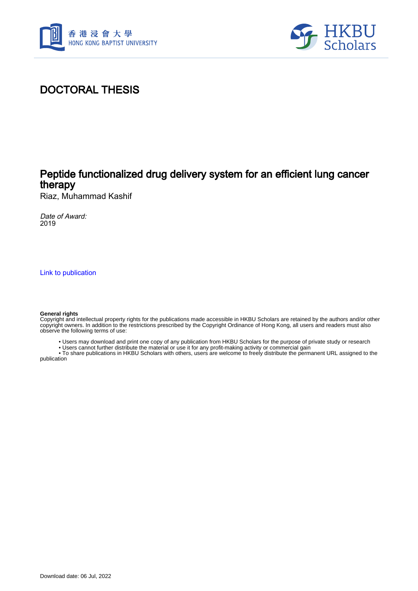



## DOCTORAL THESIS

## Peptide functionalized drug delivery system for an efficient lung cancer therapy

Riaz, Muhammad Kashif

Date of Award: 2019

[Link to publication](https://scholars.hkbu.edu.hk/en/studentTheses/c964d768-582c-45ef-a367-adf697cc9da0)

#### **General rights**

Copyright and intellectual property rights for the publications made accessible in HKBU Scholars are retained by the authors and/or other copyright owners. In addition to the restrictions prescribed by the Copyright Ordinance of Hong Kong, all users and readers must also observe the following terms of use:

- Users may download and print one copy of any publication from HKBU Scholars for the purpose of private study or research
- Users cannot further distribute the material or use it for any profit-making activity or commercial gain

 • To share publications in HKBU Scholars with others, users are welcome to freely distribute the permanent URL assigned to the publication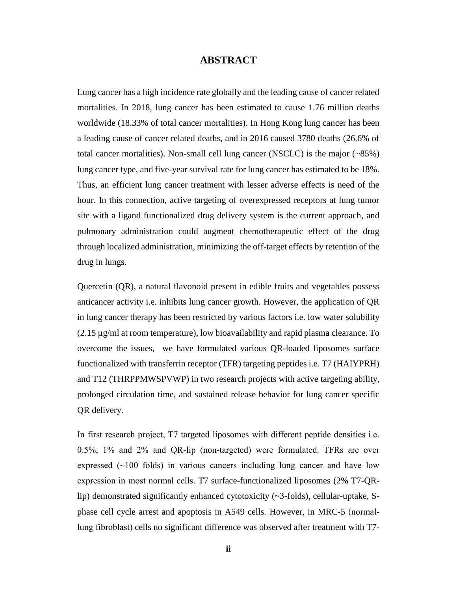### **ABSTRACT**

<span id="page-1-0"></span>Lung cancer has a high incidence rate globally and the leading cause of cancer related mortalities. In 2018, lung cancer has been estimated to cause 1.76 million deaths worldwide (18.33% of total cancer mortalities). In Hong Kong lung cancer has been a leading cause of cancer related deaths, and in 2016 caused 3780 deaths (26.6% of total cancer mortalities). Non-small cell lung cancer (NSCLC) is the major (~85%) lung cancer type, and five-year survival rate for lung cancer has estimated to be 18%. Thus, an efficient lung cancer treatment with lesser adverse effects is need of the hour. In this connection, active targeting of overexpressed receptors at lung tumor site with a ligand functionalized drug delivery system is the current approach, and pulmonary administration could augment chemotherapeutic effect of the drug through localized administration, minimizing the off-target effects by retention of the drug in lungs.

Quercetin (QR), a natural flavonoid present in edible fruits and vegetables possess anticancer activity i.e. inhibits lung cancer growth. However, the application of QR in lung cancer therapy has been restricted by various factors i.e. low water solubility  $(2.15 \mu g/ml$  at room temperature), low bioavailability and rapid plasma clearance. To overcome the issues, we have formulated various QR-loaded liposomes surface functionalized with transferrin receptor (TFR) targeting peptides i.e. T7 (HAIYPRH) and T12 (THRPPMWSPVWP) in two research projects with active targeting ability, prolonged circulation time, and sustained release behavior for lung cancer specific QR delivery.

In first research project, T7 targeted liposomes with different peptide densities i.e. 0.5%, 1% and 2% and QR-lip (non-targeted) were formulated. TFRs are over expressed  $(\sim 100$  folds) in various cancers including lung cancer and have low expression in most normal cells. T7 surface-functionalized liposomes (2% T7-QRlip) demonstrated significantly enhanced cytotoxicity (~3-folds), cellular-uptake, Sphase cell cycle arrest and apoptosis in A549 cells. However, in MRC-5 (normallung fibroblast) cells no significant difference was observed after treatment with T7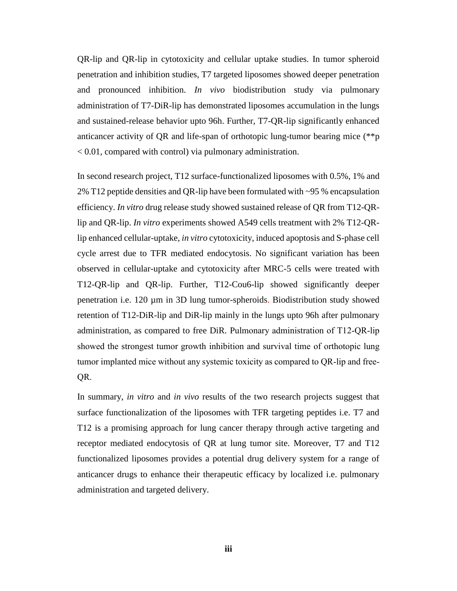QR-lip and QR-lip in cytotoxicity and cellular uptake studies. In tumor spheroid penetration and inhibition studies, T7 targeted liposomes showed deeper penetration and pronounced inhibition. *In vivo* biodistribution study via pulmonary administration of T7-DiR-lip has demonstrated liposomes accumulation in the lungs and sustained-release behavior upto 96h. Further, T7-QR-lip significantly enhanced anticancer activity of QR and life-span of orthotopic lung-tumor bearing mice (\*\*p < 0.01, compared with control) via pulmonary administration.

In second research project, T12 surface-functionalized liposomes with 0.5%, 1% and 2% T12 peptide densities and QR-lip have been formulated with ~95 % encapsulation efficiency. *In vitro* drug release study showed sustained release of QR from T12-QRlip and QR-lip. *In vitro* experiments showed A549 cells treatment with 2% T12-QRlip enhanced cellular-uptake, *in vitro* cytotoxicity, induced apoptosis and S-phase cell cycle arrest due to TFR mediated endocytosis. No significant variation has been observed in cellular-uptake and cytotoxicity after MRC-5 cells were treated with T12-QR-lip and QR-lip. Further, T12-Cou6-lip showed significantly deeper penetration i.e. 120 µm in 3D lung tumor-spheroids. Biodistribution study showed retention of T12-DiR-lip and DiR-lip mainly in the lungs upto 96h after pulmonary administration, as compared to free DiR. Pulmonary administration of T12-QR-lip showed the strongest tumor growth inhibition and survival time of orthotopic lung tumor implanted mice without any systemic toxicity as compared to QR-lip and free-QR.

In summary, *in vitro* and *in vivo* results of the two research projects suggest that surface functionalization of the liposomes with TFR targeting peptides i.e. T7 and T12 is a promising approach for lung cancer therapy through active targeting and receptor mediated endocytosis of QR at lung tumor site. Moreover, T7 and T12 functionalized liposomes provides a potential drug delivery system for a range of anticancer drugs to enhance their therapeutic efficacy by localized i.e. pulmonary administration and targeted delivery.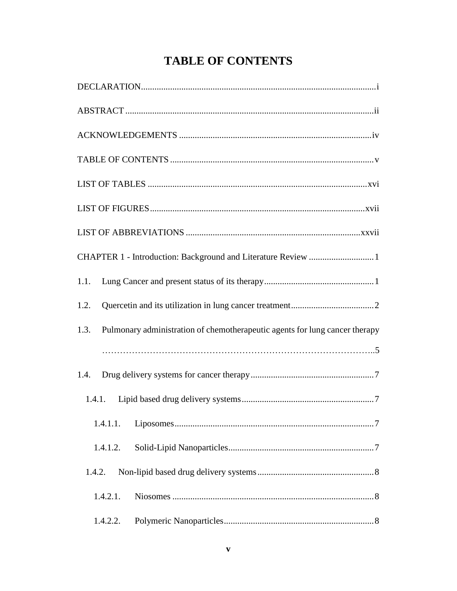# **TABLE OF CONTENTS**

<span id="page-3-0"></span>

| CHAPTER 1 - Introduction: Background and Literature Review 1                        |
|-------------------------------------------------------------------------------------|
| 1.1.                                                                                |
| 1.2.                                                                                |
| Pulmonary administration of chemotherapeutic agents for lung cancer therapy<br>1.3. |
|                                                                                     |
| 1.4.                                                                                |
| 1.4.1.                                                                              |
| 1.4.1.1.                                                                            |
| 1.4.1.2.                                                                            |
| 1.4.2.                                                                              |
| 1.4.2.1.                                                                            |
| 1.4.2.2.                                                                            |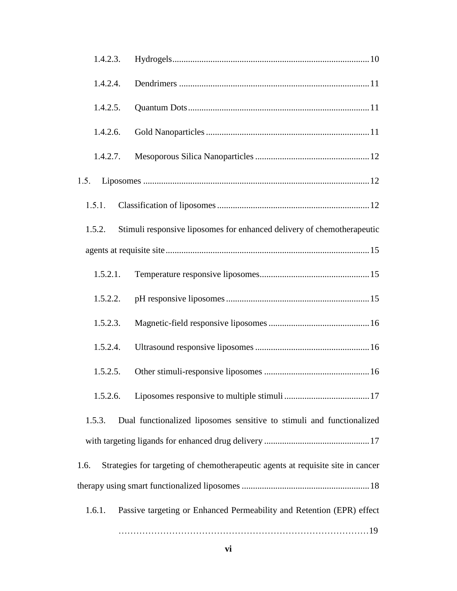| 1.4.2.3. |                                                                                 |
|----------|---------------------------------------------------------------------------------|
| 1.4.2.4. |                                                                                 |
| 1.4.2.5. |                                                                                 |
| 1.4.2.6. |                                                                                 |
| 1.4.2.7. |                                                                                 |
| 1.5.     |                                                                                 |
| 1.5.1.   |                                                                                 |
| 1.5.2.   | Stimuli responsive liposomes for enhanced delivery of chemotherapeutic          |
|          |                                                                                 |
| 1.5.2.1. |                                                                                 |
| 1.5.2.2. |                                                                                 |
| 1.5.2.3. |                                                                                 |
| 1.5.2.4. |                                                                                 |
| 1.5.2.5. |                                                                                 |
| 1.5.2.6. |                                                                                 |
| 1.5.3.   | Dual functionalized liposomes sensitive to stimuli and functionalized           |
|          |                                                                                 |
| 1.6.     | Strategies for targeting of chemotherapeutic agents at requisite site in cancer |
|          |                                                                                 |
| 1.6.1.   | Passive targeting or Enhanced Permeability and Retention (EPR) effect           |
|          |                                                                                 |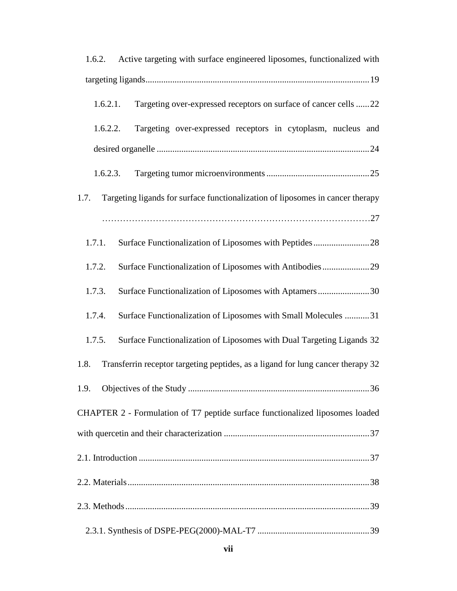| 1.6.2. Active targeting with surface engineered liposomes, functionalized with          |
|-----------------------------------------------------------------------------------------|
|                                                                                         |
| Targeting over-expressed receptors on surface of cancer cells 22<br>1.6.2.1.            |
| Targeting over-expressed receptors in cytoplasm, nucleus and<br>1.6.2.2.                |
|                                                                                         |
| 1.6.2.3.                                                                                |
| Targeting ligands for surface functionalization of liposomes in cancer therapy<br>1.7.  |
|                                                                                         |
| 1.7.1.                                                                                  |
| Surface Functionalization of Liposomes with Antibodies29<br>1.7.2.                      |
| Surface Functionalization of Liposomes with Aptamers30<br>1.7.3.                        |
| Surface Functionalization of Liposomes with Small Molecules 31<br>1.7.4.                |
| Surface Functionalization of Liposomes with Dual Targeting Ligands 32<br>1.7.5.         |
| Transferrin receptor targeting peptides, as a ligand for lung cancer therapy 32<br>1.8. |
|                                                                                         |
| CHAPTER 2 - Formulation of T7 peptide surface functionalized liposomes loaded           |
|                                                                                         |
|                                                                                         |
|                                                                                         |
|                                                                                         |
|                                                                                         |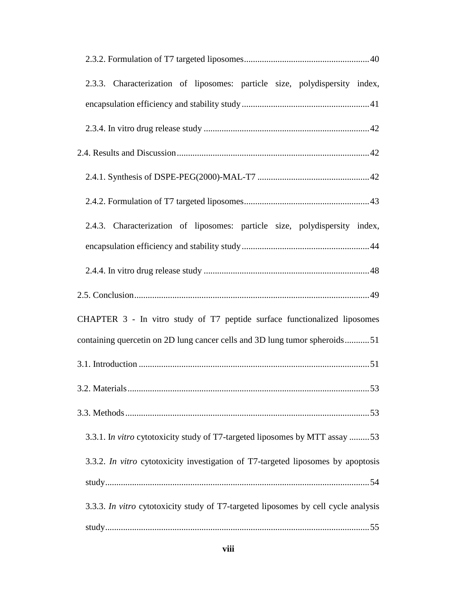| 2.3.3. Characterization of liposomes: particle size, polydispersity index,         |
|------------------------------------------------------------------------------------|
|                                                                                    |
|                                                                                    |
|                                                                                    |
|                                                                                    |
|                                                                                    |
| 2.4.3. Characterization of liposomes: particle size, polydispersity index,         |
|                                                                                    |
|                                                                                    |
|                                                                                    |
| CHAPTER 3 - In vitro study of T7 peptide surface functionalized liposomes          |
| containing quercetin on 2D lung cancer cells and 3D lung tumor spheroids51         |
|                                                                                    |
|                                                                                    |
|                                                                                    |
| 3.3.1. In vitro cytotoxicity study of T7-targeted liposomes by MTT assay 53        |
| 3.3.2. In vitro cytotoxicity investigation of T7-targeted liposomes by apoptosis   |
|                                                                                    |
| 3.3.3. In vitro cytotoxicity study of T7-targeted liposomes by cell cycle analysis |
|                                                                                    |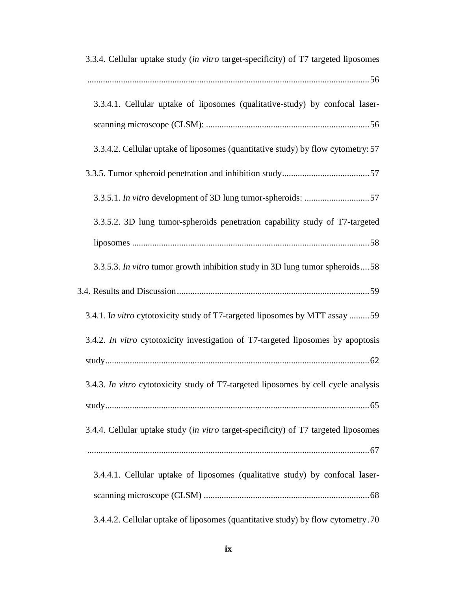| 3.3.4. Cellular uptake study (in vitro target-specificity) of T7 targeted liposomes |
|-------------------------------------------------------------------------------------|
|                                                                                     |
| 3.3.4.1. Cellular uptake of liposomes (qualitative-study) by confocal laser-        |
|                                                                                     |
| 3.3.4.2. Cellular uptake of liposomes (quantitative study) by flow cytometry: 57    |
|                                                                                     |
|                                                                                     |
| 3.3.5.2. 3D lung tumor-spheroids penetration capability study of T7-targeted        |
|                                                                                     |
| 3.3.5.3. In vitro tumor growth inhibition study in 3D lung tumor spheroids58        |
|                                                                                     |
| 3.4.1. In vitro cytotoxicity study of T7-targeted liposomes by MTT assay 59         |
| 3.4.2. In vitro cytotoxicity investigation of T7-targeted liposomes by apoptosis    |
|                                                                                     |
| 3.4.3. In vitro cytotoxicity study of T7-targeted liposomes by cell cycle analysis  |
|                                                                                     |
| 3.4.4. Cellular uptake study (in vitro target-specificity) of T7 targeted liposomes |
|                                                                                     |
| 3.4.4.1. Cellular uptake of liposomes (qualitative study) by confocal laser-        |
|                                                                                     |
| 3.4.4.2. Cellular uptake of liposomes (quantitative study) by flow cytometry. 70    |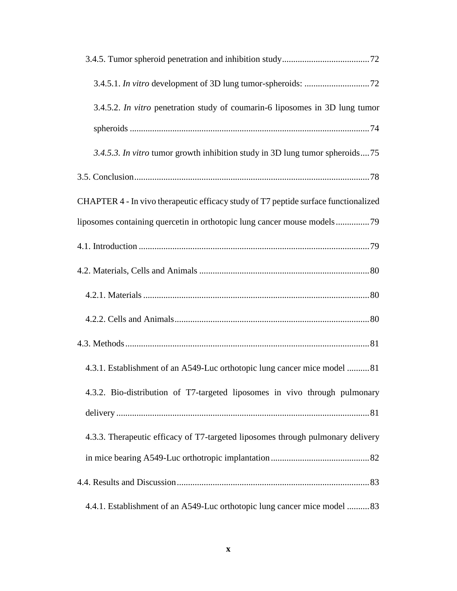| 3.4.5.2. In vitro penetration study of coumarin-6 liposomes in 3D lung tumor        |
|-------------------------------------------------------------------------------------|
|                                                                                     |
| 3.4.5.3. In vitro tumor growth inhibition study in 3D lung tumor spheroids75        |
|                                                                                     |
| CHAPTER 4 - In vivo therapeutic efficacy study of T7 peptide surface functionalized |
| liposomes containing quercetin in orthotopic lung cancer mouse models79             |
|                                                                                     |
|                                                                                     |
|                                                                                     |
|                                                                                     |
|                                                                                     |
| 4.3.1. Establishment of an A549-Luc orthotopic lung cancer mice model 81            |
| 4.3.2. Bio-distribution of T7-targeted liposomes in vivo through pulmonary          |
|                                                                                     |
| 4.3.3. Therapeutic efficacy of T7-targeted liposomes through pulmonary delivery     |
|                                                                                     |
|                                                                                     |
| 4.4.1. Establishment of an A549-Luc orthotopic lung cancer mice model  83           |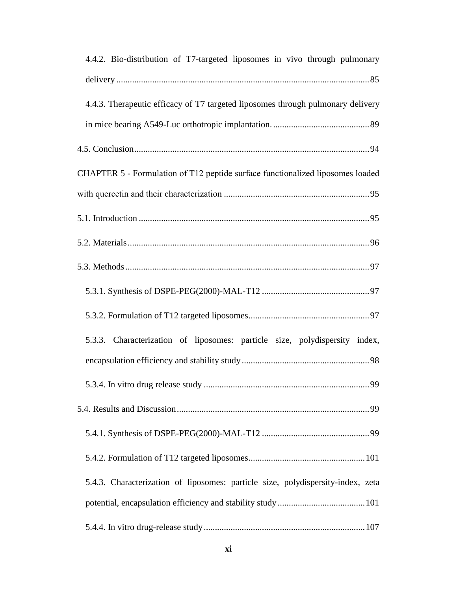| 4.4.2. Bio-distribution of T7-targeted liposomes in vivo through pulmonary      |
|---------------------------------------------------------------------------------|
|                                                                                 |
| 4.4.3. Therapeutic efficacy of T7 targeted liposomes through pulmonary delivery |
|                                                                                 |
|                                                                                 |
| CHAPTER 5 - Formulation of T12 peptide surface functionalized liposomes loaded  |
|                                                                                 |
|                                                                                 |
|                                                                                 |
|                                                                                 |
|                                                                                 |
|                                                                                 |
| 5.3.3. Characterization of liposomes: particle size, polydispersity index,      |
|                                                                                 |
|                                                                                 |
|                                                                                 |
|                                                                                 |
|                                                                                 |
| 5.4.3. Characterization of liposomes: particle size, polydispersity-index, zeta |
|                                                                                 |
|                                                                                 |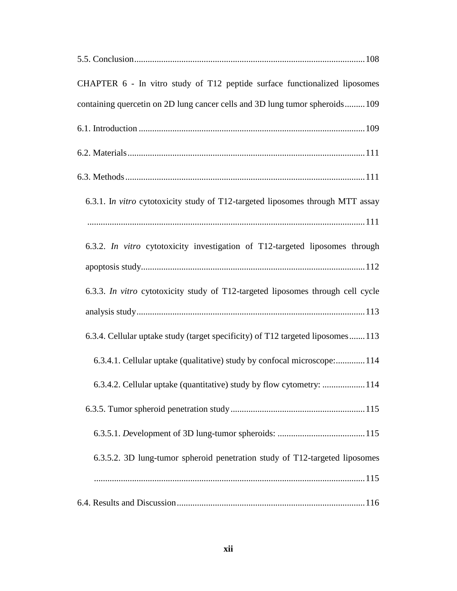| CHAPTER 6 - In vitro study of T12 peptide surface functionalized liposomes      |
|---------------------------------------------------------------------------------|
| containing quercetin on 2D lung cancer cells and 3D lung tumor spheroids 109    |
|                                                                                 |
|                                                                                 |
|                                                                                 |
| 6.3.1. In vitro cytotoxicity study of T12-targeted liposomes through MTT assay  |
|                                                                                 |
| 6.3.2. In vitro cytotoxicity investigation of T12-targeted liposomes through    |
|                                                                                 |
| 6.3.3. In vitro cytotoxicity study of T12-targeted liposomes through cell cycle |
|                                                                                 |
| 6.3.4. Cellular uptake study (target specificity) of T12 targeted liposomes113  |
| 6.3.4.1. Cellular uptake (qualitative) study by confocal microscope:114         |
| 6.3.4.2. Cellular uptake (quantitative) study by flow cytometry:  114           |
|                                                                                 |
|                                                                                 |
| 6.3.5.2. 3D lung-tumor spheroid penetration study of T12-targeted liposomes     |
|                                                                                 |
|                                                                                 |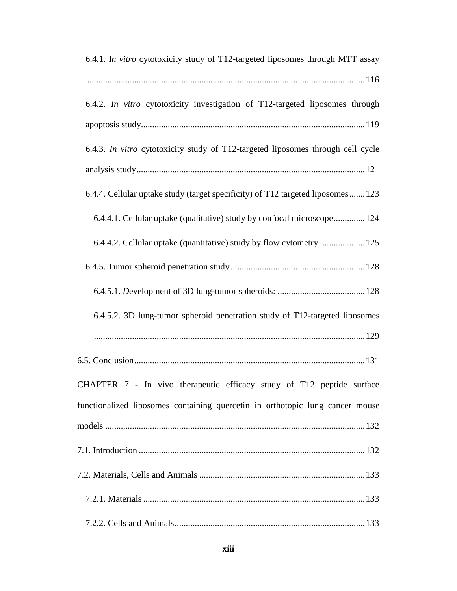| 6.4.1. In vitro cytotoxicity study of T12-targeted liposomes through MTT assay  |
|---------------------------------------------------------------------------------|
|                                                                                 |
| 6.4.2. In vitro cytotoxicity investigation of T12-targeted liposomes through    |
|                                                                                 |
| 6.4.3. In vitro cytotoxicity study of T12-targeted liposomes through cell cycle |
|                                                                                 |
| 6.4.4. Cellular uptake study (target specificity) of T12 targeted liposomes 123 |
| 6.4.4.1. Cellular uptake (qualitative) study by confocal microscope 124         |
| 6.4.4.2. Cellular uptake (quantitative) study by flow cytometry  125            |
|                                                                                 |
|                                                                                 |
| 6.4.5.2. 3D lung-tumor spheroid penetration study of T12-targeted liposomes     |
|                                                                                 |
|                                                                                 |
| CHAPTER 7 - In vivo therapeutic efficacy study of T12 peptide surface           |
| functionalized liposomes containing quercetin in orthotopic lung cancer mouse   |
|                                                                                 |
|                                                                                 |
|                                                                                 |
|                                                                                 |
|                                                                                 |